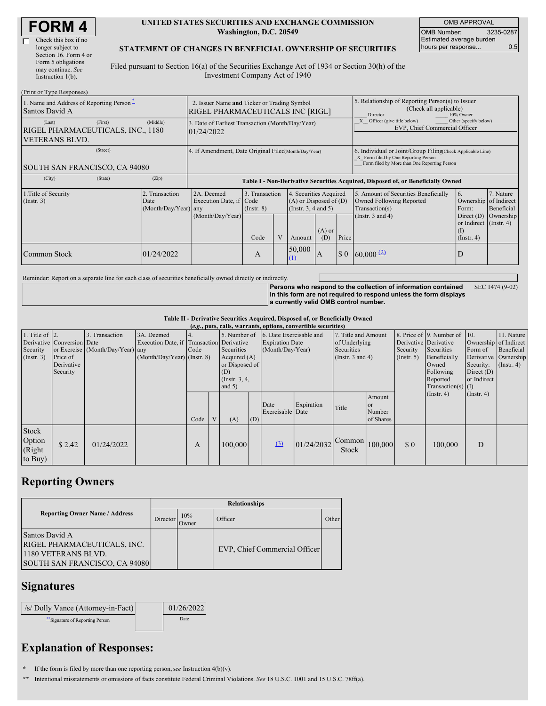| <b>FORM4</b> |  |
|--------------|--|
|--------------|--|

#### **UNITED STATES SECURITIES AND EXCHANGE COMMISSION Washington, D.C. 20549**

OMB APPROVAL OMB Number: 3235-0287 Estimated average burden hours per response... 0.5

### **STATEMENT OF CHANGES IN BENEFICIAL OWNERSHIP OF SECURITIES**

Filed pursuant to Section 16(a) of the Securities Exchange Act of 1934 or Section 30(h) of the Investment Company Act of 1940

| (Print or Type Responses)                                                       |                                                                                 |                                                                                  |                                   |  |                                                                              |                                                                                                     |                                                                                                                                                    |                                                                                                             |                                                                              |                                      |  |  |
|---------------------------------------------------------------------------------|---------------------------------------------------------------------------------|----------------------------------------------------------------------------------|-----------------------------------|--|------------------------------------------------------------------------------|-----------------------------------------------------------------------------------------------------|----------------------------------------------------------------------------------------------------------------------------------------------------|-------------------------------------------------------------------------------------------------------------|------------------------------------------------------------------------------|--------------------------------------|--|--|
| 1. Name and Address of Reporting Person-<br>Santos David A                      | 2. Issuer Name and Ticker or Trading Symbol<br>RIGEL PHARMACEUTICALS INC [RIGL] |                                                                                  |                                   |  |                                                                              | 5. Relationship of Reporting Person(s) to Issuer<br>(Check all applicable)<br>Director<br>10% Owner |                                                                                                                                                    |                                                                                                             |                                                                              |                                      |  |  |
| (First)<br>(Last)<br>RIGEL PHARMACEUTICALS, INC., 1180<br><b>VETERANS BLVD.</b> | (Middle)                                                                        | 3. Date of Earliest Transaction (Month/Day/Year)<br>01/24/2022                   |                                   |  |                                                                              |                                                                                                     | Other (specify below)<br>X Officer (give title below)<br>EVP, Chief Commercial Officer                                                             |                                                                                                             |                                                                              |                                      |  |  |
| (Street)<br><b>SOUTH SAN FRANCISCO, CA 94080</b>                                |                                                                                 | 4. If Amendment, Date Original Filed Month/Day/Year)                             |                                   |  |                                                                              |                                                                                                     | 6. Individual or Joint/Group Filing(Check Applicable Line)<br>X Form filed by One Reporting Person<br>Form filed by More than One Reporting Person |                                                                                                             |                                                                              |                                      |  |  |
| (State)<br>(City)                                                               | (Zip)                                                                           | Table I - Non-Derivative Securities Acquired, Disposed of, or Beneficially Owned |                                   |  |                                                                              |                                                                                                     |                                                                                                                                                    |                                                                                                             |                                                                              |                                      |  |  |
| 1. Title of Security<br>(Insert. 3)                                             | 2. Transaction<br>Date<br>(Month/Day/Year) any                                  | 2A. Deemed<br>Execution Date, if Code<br>(Month/Day/Year)                        | 3. Transaction<br>$($ Instr. $8)$ |  | 4. Securities Acquired<br>$(A)$ or Disposed of $(D)$<br>(Insert. 3, 4 and 5) |                                                                                                     |                                                                                                                                                    | 5. Amount of Securities Beneficially<br>Owned Following Reported<br>Transaction(s)<br>(Instr. $3$ and $4$ ) | 6.<br>Ownership of Indirect<br>Form:<br>Direct (D)<br>or Indirect (Instr. 4) | 7. Nature<br>Beneficial<br>Ownership |  |  |
|                                                                                 |                                                                                 |                                                                                  | Code                              |  | Amount                                                                       | $(A)$ or<br>(D)                                                                                     | Price                                                                                                                                              |                                                                                                             | $($ $\Gamma$<br>$($ Instr. 4 $)$                                             |                                      |  |  |
| Common Stock                                                                    | 01/24/2022                                                                      |                                                                                  | А                                 |  | 50,000<br>$\Omega$                                                           | $\mathbf{A}$                                                                                        | $\Omega$                                                                                                                                           | $60,000$ $(2)$                                                                                              | D                                                                            |                                      |  |  |

Reminder: Report on a separate line for each class of securities beneficially owned directly or indirectly.

**Persons who respond to the collection of information contained in this form are not required to respond unless the form displays a currently valid OMB control number.** SEC 1474 (9-02)

**Table II - Derivative Securities Acquired, Disposed of, or Beneficially Owned**

|                                               | (e.g., puts, calls, warrants, options, convertible securities)   |                                                    |                                                                                        |      |   |                                                                                                      |     |                                                                       |            |                                                                             |                                            |                                                    |                                                                                                                      |                                                                                                                 |                          |
|-----------------------------------------------|------------------------------------------------------------------|----------------------------------------------------|----------------------------------------------------------------------------------------|------|---|------------------------------------------------------------------------------------------------------|-----|-----------------------------------------------------------------------|------------|-----------------------------------------------------------------------------|--------------------------------------------|----------------------------------------------------|----------------------------------------------------------------------------------------------------------------------|-----------------------------------------------------------------------------------------------------------------|--------------------------|
| 1. Title of $ 2$ .<br>Security<br>(Insert. 3) | Derivative Conversion Date<br>Price of<br>Derivative<br>Security | 3. Transaction<br>or Exercise (Month/Day/Year) any | 3A. Deemed<br>Execution Date, if Transaction Derivative<br>(Month/Day/Year) (Instr. 8) | Code |   | 5. Number of<br>Securities<br>Acquired $(A)$<br>or Disposed of<br>(D)<br>(Instr. $3, 4,$<br>and $5)$ |     | 6. Date Exercisable and<br><b>Expiration Date</b><br>(Month/Day/Year) |            | 7. Title and Amount<br>of Underlying<br>Securities<br>(Instr. $3$ and $4$ ) |                                            | Derivative Derivative<br>Security<br>$($ Instr. 5) | 8. Price of 9. Number of 10.<br>Securities<br>Beneficially<br>Owned<br>Following<br>Reported<br>$Transaction(s)$ (I) | Ownership of Indirect<br>Form of<br>Derivative Ownership<br>Security: (Instr. 4)<br>Direct $(D)$<br>or Indirect | 11. Nature<br>Beneficial |
|                                               |                                                                  |                                                    |                                                                                        | Code | V | (A)                                                                                                  | (D) | Date<br>Exercisable Date                                              | Expiration | Title                                                                       | Amount<br><b>or</b><br>Number<br>of Shares |                                                    | $($ Instr. 4 $)$                                                                                                     | $($ Instr. 4 $)$                                                                                                |                          |
| Stock<br>Option<br>(Right<br>to Buy)          | \$2.42                                                           | 01/24/2022                                         |                                                                                        | А    |   | 100,000                                                                                              |     | (3)                                                                   | 01/24/2032 | Common<br>Stock                                                             | 100,000                                    | \$0                                                | 100,000                                                                                                              | D                                                                                                               |                          |

## **Reporting Owners**

|                                                                                                       | <b>Relationships</b> |              |                               |       |  |  |  |  |  |
|-------------------------------------------------------------------------------------------------------|----------------------|--------------|-------------------------------|-------|--|--|--|--|--|
| <b>Reporting Owner Name / Address</b>                                                                 | Director             | 10%<br>Owner | Officer                       | Other |  |  |  |  |  |
| Santos David A<br>RIGEL PHARMACEUTICALS, INC.<br>1180 VETERANS BLVD.<br>SOUTH SAN FRANCISCO, CA 94080 |                      |              | EVP, Chief Commercial Officer |       |  |  |  |  |  |

### **Signatures**

| /s/ Dolly Vance (Attorney-in-Fact) | 01/26/2022 |
|------------------------------------|------------|
| ** Signature of Reporting Person   | Date       |

# **Explanation of Responses:**

**\*** If the form is filed by more than one reporting person,*see* Instruction 4(b)(v).

**\*\*** Intentional misstatements or omissions of facts constitute Federal Criminal Violations. *See* 18 U.S.C. 1001 and 15 U.S.C. 78ff(a).